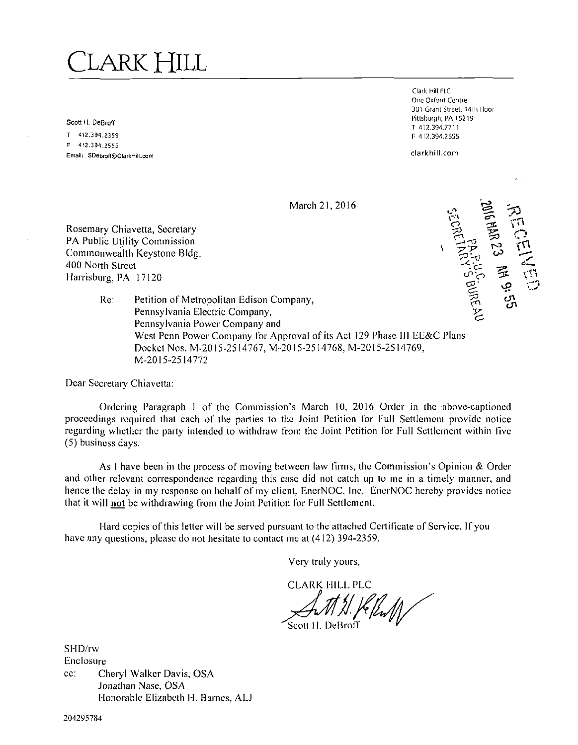# LARK HILL

Scott H. DeBroff

T 412.391.23S9 F 412.391.2555 Email: SDebfoff@ClarkHill.com

Clark Hill PLC One Oxford Centre 301 Grant Street, 14th Floor Pittsburgh, PA 15219 T 412.391.7711 P 412.391.2555

clarkhill.com

**March 21, 2016** 



Rosemary Chiavetta, Secretary PA Public Utility Commission Commonwealth Keystone Bldg. 400 North Street Harrisburg, PA 17120

> Re: Petition of Metropolitan Edison Company, Pennsylvania Electric Company, Pennsylvania Power Company and West Penn Power Company for Approval of its Act 129 Phase III EE&C Plans Docket Nos. M-2015-2514767, M-2015-2514768, M-2015-2514769, M-2015-2514772

Dear Secretary Chiavetta:

Ordering Paragraph 1 of the Commission's March 10, 2016 Order in the above-captioned proceedings required that each of the parties to the Joint Petition for Full Settlement provide notice regarding whether the party intended to withdraw from the Joint Petition for Full Settlement within live (5) business days.

As I have been in the process of moving between law firms, the Commission's Opinion & Order and other relevant correspondence regarding this case did not catch up to me in a timely manner, and hence the delay in my response on behalf of my client, EnerNOC, Inc. EnerNOC hereby provides notice that it will not be withdrawing from the Joint Petition for Full Settlement.

Hard copies of this letter will be served pursuant to the attached Certificate of Service. If you have any questions, please do not hesitate to contact me at (412) 394-2359.

Very truly yours,

**CLARK HILL PLC** 

Scott H. DeBro

SHD/rw Enclosure cc: Cheryl Walker Davis, OSA Jonathan Nase, OSA Honorable Elizabeth 11. Barnes, ALJ

204295784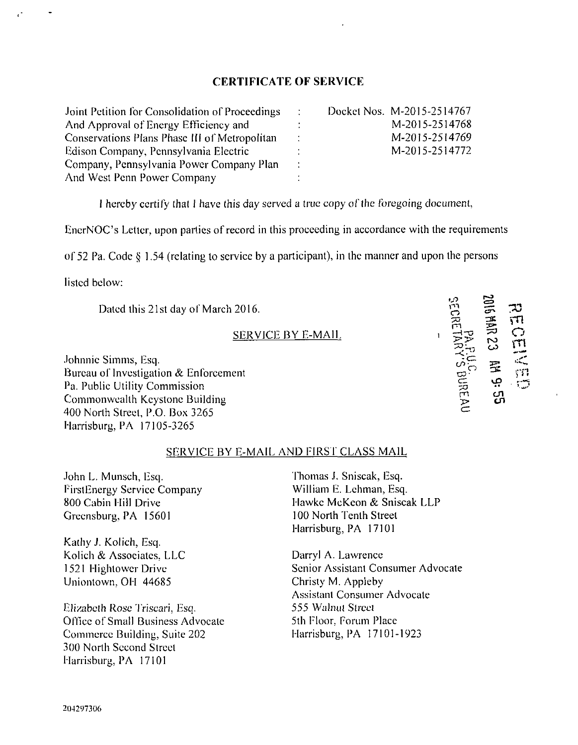## **CERTIFICATE OF SERVICE**

| Joint Petition for Consolidation of Proceedings | <b>Contract</b> | Docket Nos. M-2015-2514767 |
|-------------------------------------------------|-----------------|----------------------------|
| And Approval of Energy Efficiency and           |                 | M-2015-2514768             |
| Conservations Plans Phase III of Metropolitan   |                 | M-2015-2514769             |
| Edison Company, Pennsylvania Electric           |                 | M-2015-2514772             |
| Company, Pennsylvania Power Company Plan        |                 |                            |
| And West Penn Power Company                     |                 |                            |

I hereby certify that I have this day served a true copy of the foregoing document,

EnerNOC's Letter, upon parties of record in this proceeding in accordance with the requirements

of 52 Pa. Code § 1.54 (relating to service by a participant), in the manner and upon the persons

listed below:

Dated this 21st day of March 2016.

### SERVICE BY E-MAIL

Johnnie Simms, Esq. Bureau of Investigation & Enforcement Pa. Public Utility Commission Commonweallh Keystone Building 400 North Street, P.O. Box 3265 Harrisburg, PA 17105-3265

#### SERVICE BY E-MAIL AND FIRST CLASS MAIL

John L. Munsch, Esq. FirstEnergy Service Company 800 Cabin Hill Drive Greensburg, PA 15601

Kathy J. Kolich, Esq. Kolich & Associates. LLC 1521 Highlowcr Drive Uniontown, OH 44685

Elizabeth Rose Triscari, Esq, Office of Small Business Advocate Commerce Building. Suite 202 300 North Second Street Harrisburg, PA 17101

Thomas J. Sniscak, Esq. William E. Lehman, Esq. Flawkc McKeon & Sniscak LLP 100 North Tenth Street Harrisburg, PA 17101

**o m —t-o** 

> $\widetilde{\epsilon}$ m

**916 MAR 23 MM 9:** 

 $\overline{\mathbf{3}}$  $\sum_{i=1}^{n}$ ೧<br>ಗ rn **.<\*'\*** 

Darryl A. Lawrence Senior Assistant Consumer Advocate Christy M. Appleby Assistant Consumer Advocate 555 Walnut Street 5th Floor, Forum Place Harrisburg, PA 17101-1923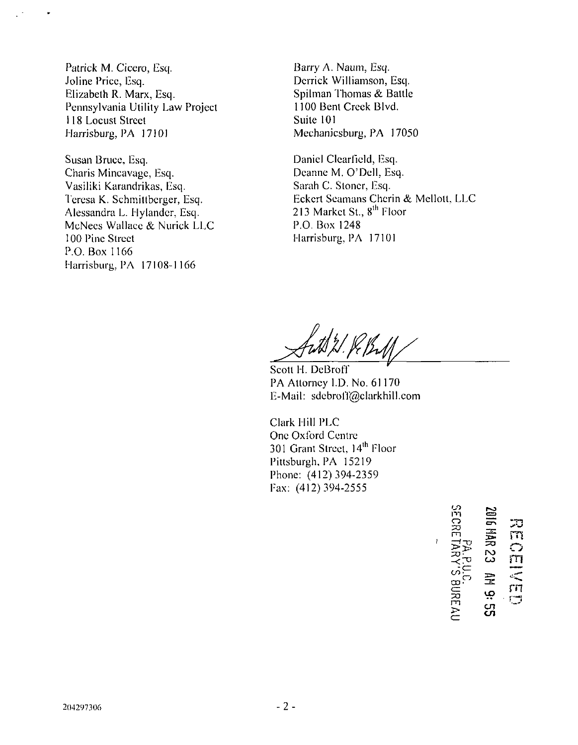Patrick M. Cicero, Esq. Joline Price, Esq. Elizabeth R. Marx, Esq. Pennsylvania Utility Law Project 118 Locust Street Harrisburg, PA 17101

Susan Bruce, Esq. Charis Mincavage, Esq. Vasiliki Karandrikas, Esq. Teresa K. Schmittberger, Esq. Alessandra L. Hylandcr, Esq. McNees Wallace & Nurick LLC 100 Pine Street P.O. Box 1166 Harrisburg, PA 17108-1166

Barry A. Naum, Esq. Derrick Williamson, Esq. Spilman Thomas & Battle 1100 Bent Creek Blvd. Suite 101 Mechanicsburg, PA 17050

Daniel Clearfield, Esq. Deanne M. O'Dell, Esq. Sarah C. Sloncr, Esq. Eckcrt Seamans Chcrin & Melloll, LLC 213 Market St., 8<sup>th</sup> Floor P.O. Box 1248 Harrisburg, PA 17101

Scott H. DeBroff PA Altorncy LD. No. 61170 E-Mail: sdcbroff@clarkhill.com

301 Grant Street,  $14^{\text{th}}$  Floor Clark Hill PLC One Oxford Centre Pittsburgh, PA 15219 Phone: (412) 394-2359 Fax: (412) 394-2555

m o ER<br>Dip m >  $\simeq$  $\equiv$  $\blacksquare$  $\mathbb{S}^2$  $\mathbb{Z}$ UD  $\mathbf{r}$  $\mathbf{c}$ "T- J o rn rn